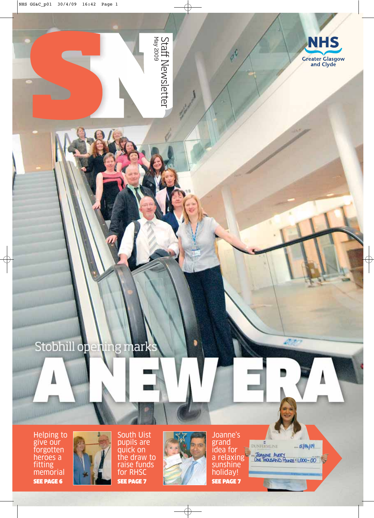

Staff Newsletter<br><sup>May 2009</sup>

۵

#### Stobhill open 1g ıark iin Ш

Helping to give our forgotten heroes a fitting memorial SEE PAGE 6



South Uist pupils are quick on the draw to raise funds for RHSC SEE PAGE 7



Joanne's grand idea for a relaxing sunshine holiday! SEE PAGE 7

DUNFERMLINE  $-50404$ JOANNE AVERY<br>ONE THOUSAND FUNKS E1,000-00

**DEPO**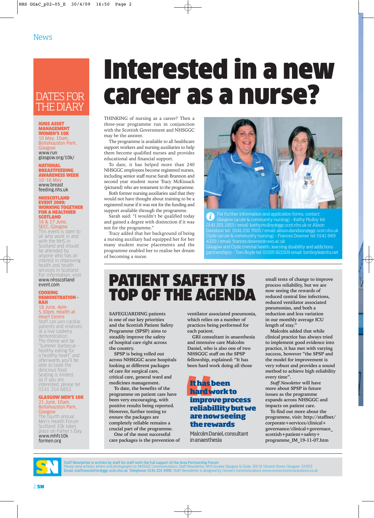### DATES FOR THE DIARY

IGNIS ASSET MANAGEMENT WOMEN'S 10K 10 May, 10am, Bellahouston Park, **Glasgow** www.run glasgow.org/10k/

NATIONAL BREASTFEEDING AWARENESS WEEK 10–16 May www.breast feeding.nhs.uk

#### NHSSCOTLAND EVENT 2009: WORKING TOGETHER FOR A HEALTHIER **SCOTLAND** 16 & 17 June,

### SECC, Glasgow This event is open to

all who work in and with the NHS in Scotland and should be attended by anyone who has an interest in improving health and health services in Scotland.<br>For information, visit: For information www.nhsscotland event.com

#### COOKING DEMONSTRATION – RAH

#### 18 June, 4pm-5.30pm, Health at Heart Centre

Staff can join cardiac patients and relatives at a live cookery demonstration. The theme will be "Summer barbecue – healthy eating for a healthy heart" and afterwards you'll be able to taste the delicious food. Seating is limited, so if you are interested, please tel: 0141 314 6852.

#### GLASGOW MEN'S 10K 21 June, 10am, Bellahouston Park, Glasgow

The fourth annual Men's Health Forum Scotland 10k takes place on Father's Day. www.mhfs10k formen.org

# Interested in a new career as a nurse?

THINKING of nursing as a career? Then a three-year programme run in conjunction with the Scottish Government and NHSGGC may be the answer.

The programme is available to all healthcare support workers and nursing auxiliaries to help them become qualified nurses and provides educational and financial support.

To date, it has helped more than 240 NHSGGC employees become registered nurses, including senior staff nurse Sarah Brannon and second year student nurse Tracy McKissack (pictured) who are testament to the programme.

Both former nursing auxiliaries said that they would not have thought about training to be a registered nurse if it was not for the funding and support available through the programme.

Sarah said: "I wouldn't be qualified today and gained a degree with distinction if it was not for the programme."

Tracy added that her background of being a nursing auxiliary had equipped her for her many student nurse placements and the programme enabled her to realise her dream of becoming a nurse.



For further information and application forms, contact:  $\mathbf{d}$ Glasgow (acute & community nursing) – Kathy Mulloy tel: 0141 201 1853 / email: kathy.mulloy@ggc.scot.nhs.uk or Alison Davidson tel: 0141 232 7605 / email: alison.davidson@ggc.scot.nhs.uk Clyde (acute & community nursing) – Frances Downer tel: 0141 849 4329 / email: frances.downer@uws.ac.uk Glasgow and Clyde (mental health, learning disability and addictions

partnerships) – Tom Boyle tel: 01505 821509 email: tomboyle@nhs.net

### PATIENT SAFETY IS TOP OF THE AGENDA

**SAFEGUARDING patients is one of our key priorities and the Scottish Patient Safety Programme (SPSP) aims to steadily improve the safety of hospital care right across the country.** 

**SPSP is being rolled out across NHSGGC acute hospitals looking at different packages of care for surgical care, critical care, general ward and medicines management.**

**To date, the benefits of the programme on patient care have been very encouraging, with positive results being reported. However, further testing to ensure the packages are completely reliable remains a crucial part of the programme.**

**One of the most successful care packages is the prevention of**

**ventilator associated pneumonia, which relies on a number of practices being performed for each patient.** 

**GRI consultant in anaesthesia and intensive care Malcolm Daniel, who is also one of two NHSGGC staff on the SPSP fellowship, explained: "It has been hard work doing all those**

### **It has been hard work to improve process reliabillity but we are now seeing the rewards**

Malcolm Daniel, consultant in anaesthesia

**small tests of change to improve process reliability, but we are now seeing the rewards of reduced central line infections, reduced ventilator associated pneumonias, and both a reduction and less variation in our monthly average ICU length of stay."** 

**Malcolm added that while clinical practice has always tried to implement good evidence into practice, it has met with varying success, however "the SPSP and the model for improvement is very robust and provides a sound method to achieve high reliability every time".**

*Staff Newsletter* **will have more about SPSP in future issues as the programme expands across NHSGGC and impacts on patient care.** 

**To find out more about the programme, visit: http://staffnet/ corporate+services/clinical+ governance/clinical+governace\_ scottish+patient+safety+ programme\_IM\_19-11-07.htm**



Staff Newsletter is written by staff for staff with the full support of the Area Partnership Forum

Please send articles, letters and photographs to: NHSGGC Communications, Staff Newsletter, NHS Greater Glasgow & Clyde, 350 St Vincent Street, Glasgow G3 8YZ<br>**Email: staffnewsletter@ggc.scot.nhs.uk Telephone: 0141 201 4995**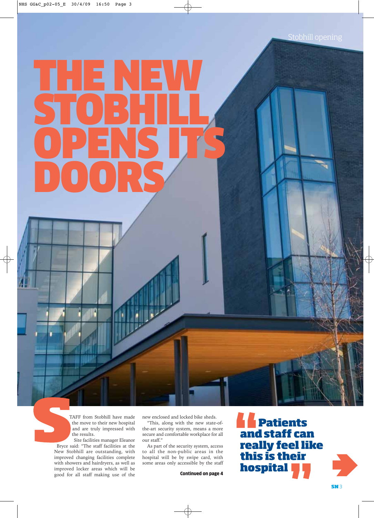# THE NEW STOBHILL OPENS ITS DOORS

TAFF from Stobhill have made the move to their new hospital and are truly impressed with the results.

Site facilities manager Eleanor Bryce said: "The staff facilities at the New Stobhill are outstanding, with improved changing facilities complete with showers and hairdryers, as well as improved locker areas which will be good for all staff making use of the

new enclosed and locked bike sheds.

"This, along with the new state-ofthe-art security system, means a more secure and comfortable workplace for all our staff."

As part of the security system, access to all the non-public areas in the hospital will be by swipe card, with some areas only accessible by the staff

Continued on page 4

**Patients and staff can really feel like this is their hospital**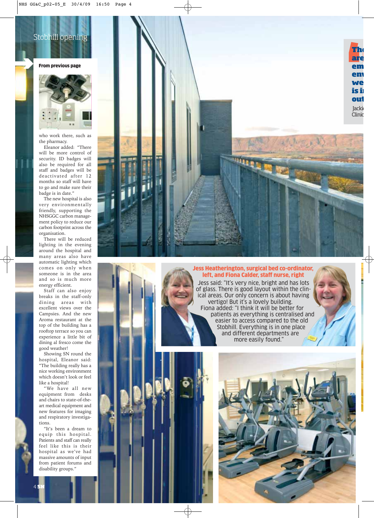### Stobhill opening

### From previous page



who work there, such as the pharmacy.

Eleanor added: "There will be more control of security. ID badges will also be required for all staff and badges will be deactivated after 12 months so staff will have to go and make sure their badge is in date."

The new hospital is also very environmentally friendly, supporting the NHSGGC carbon management policy to reduce our carbon footprint across the organisation.

There will be reduced lighting in the evening around the hospital and many areas also have automatic lighting which comes on only when someone is in the area and so is much more energy efficient.

Staff can also enjoy breaks in the staff-only dining areas with excellent views over the Campsies. And the new Aroma restaurant at the top of the building has a rooftop terrace so you can experience a little bit of dining al fresco come the good weather!

Showing SN round the hospital, Eleanor said: "The building really has a nice working environment which doesn't look or feel like a hospital!

"We have all new equipment from desks and chairs to state-of-theart medical equipment and new features for imaging and respiratory investigations.

"It's been a dream to equip this hospital. Patients and staff can really feel like this is their hospital as we've had massive amounts of input from patient forums and disability groups."



### Jess Heatherington, surgical bed co-ordinator, left, and Fiona Calder, staff nurse, right

Jess said: "It's very nice, bright and has lots of glass. There is good layout within the clinical areas. Our only concern is about having vertigo! But it's a lovely building. Fiona added: "I think it will be better for patients as everything is centralised and easier to access compared to the old Stobhill. Everything is in one place and different departments are more easily found."

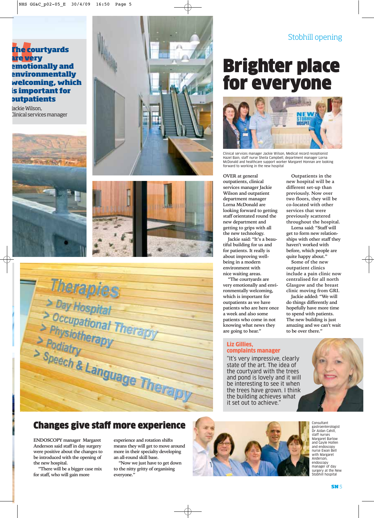**Outpatients in the new hospital will be a different set-up than previously. Now over two floors, they will be co-located with other services that were previously scattered throughout the hospital. Lorna said: "Staff will get to form new relationships with other staff they haven't worked with before, which people are quite happy about." Some of the new outpatient clinics include a pain clinic now centralised for all north Glasgow and the breast clinic moving from GRI. Jackie added: "We will do things differently and hopefully have more time to spend with patients. The new building is just amazing and we can't wait to be over there."**

### **The courtyards re very emotionally and environmentally welcoming, which important for outpatients**

kie Wilson, nical services manager







Therapies<br>
> Day Hospital<br>
> Occupational Therapy<br>
> Podiatry<br>
> Speech & Language Ti Therapic > Speech & Language Therapy

### Changes give staff more experience

**ENDOSCOPY manager Margaret Anderson said staff in day surgery were positive about the changes to be introduced with the opening of the new hospital.**

**"There will be a bigger case mix for staff, who will gain more**

**experience and rotation shifts means they will get to move around more in their specialty developing an all-round skill base.** 

**"Now we just have to get down to the nitty gritty of organising everyone."**



Consultant gastroenterologist Dr Aidan Cahill, staff nurses Margaret Barlow and Gayle Hollen and endoscopy nurse Ewan Bell with Margaret Anderson, endoscopy manager of day surgery at the New Stobhill hospital

### Brighter place for everyone



Clinical services manager Jackie Wilson, Medical record receptionist Hazel Bain, staff nurse Sheila Campbell, department manager Lorna McDonald and healthcare support worker Margaret Honnan are looking forward to working in the new hospital

**OVER at general outpatients, clinical services manager Jackie Wilson and outpatient department manager Lorna McDonald are looking forward to getting staff orientated round the new department and getting to grips with all the new technology.**

**Jackie said: "It's a beautiful building for us and for patients. It really is about improving wellbeing in a modern environment with nice waiting areas.** 

**"The courtyards are very emotionally and environmentally welcoming, which is important for outpatients as we have patients who are here once a week and also some patients who come in not knowing what news they are going to hear."**

### Liz Gillies, complaints manager

"It's very impressive, clearly state of the art. The idea of the courtyard with the trees and pond is lovely and it will be interesting to see it when the trees have grown. I think the building achieves what it set out to achieve."

**SN** 5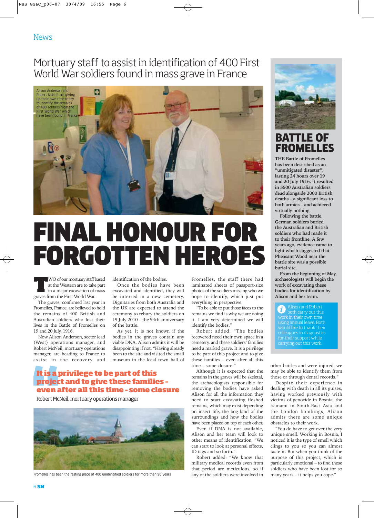### Mortuary staff to assist in identification of 400 First World War soldiers found in mass grave in France



## FINAL HONOUR FOR FORGOTTEN HEROES

**THE WO of our mortuary staff based<br>
at the Western are to take part<br>
in a major excavation of mass<br>
prayes from the First World War** at the Western are to take part graves from the First World War.

The graves, confirmed last year in Fromelles, France, are believed to hold the remains of 400 British and Australian soldiers who lost their lives in the Battle of Fromelles on 19 and 20 July, 1916.

Now Alison Anderson, sector lead (West) operations manager, and Robert McNeil, mortuary operations manager, are heading to France to assist in the recovery and identification of the bodies.

Once the bodies have been excavated and identified, they will be interred in a new cemetery. Dignitaries from both Australia and the UK are expected to attend the ceremony to rebury the soldiers on 19 July 2010 – the 94th anniversary of the battle.

As yet, it is not known if the bodies in the graves contain any viable DNA. Alison admits it will be disappointing if not. "Having already been to the site and visited the small museum in the local town hall of

### **It is a privilege to be part of this project and to give these families – even after all this time – some closure**

Robert McNeil, mortuary operations manager



Fromelles has been the resting place of 400 unidentified soldiers for more than 90 years

Fromelles, the staff there had laminated sheets of passport-size photos of the soldiers missing who we hope to identify, which just put everything in perspective.

"To be able to put those faces to the remains we find is why we are doing it. I am very determined we will identify the bodies."

Robert added: "The bodies recovered need their own space in a cemetery, and these soldiers' families need a marked grave. It is a privilege to be part of this project and to give these families – even after all this time – some closure."

Although it is expected that the remains in the graves will be skeletal, the archaeologists responsible for removing the bodies have asked Alison for all the information they need to start excavating fleshed remains, which may exist depending on insect life, the bog land of the surroundings and how the bodies have been placed on top of each other.

Even if DNA is not available, Alison and her team will look to other means of identification. "We can start to look at personal effects, ID tags and so forth."

Robert added: "We know that military medical records even from that period are meticulous, so if any of the soldiers were involved in



BATTLE OF FROMELLES

**THE Battle of Fromelles has been described as an "unmitigated disaster", lasting 24 hours over 19 and 20 July 1916. It resulted in 5500 Australian soldiers dead alongside 2000 British deaths – a significant loss to both armies – and achieved virtually nothing.**

**Following the battle, German soldiers buried the Australian and British soldiers who had made it to their frontline. A few years ago, evidence came to light which suggested that Pheasant Wood near the battle site was a possible burial site.** 

**From the beginning of May, archaeologists will begin the work of excavating these bodies for identification by Alison and her team.** 

ī. both carry out this work in their own time using annual leave. Both would like to thank their colleagues in diagnostics for their support while carrying out this work.

other battles and were injured, we may be able to identify them from those or through dental records."

Despite their experience in dealing with death in all its guises, having worked previously with victims of genocide in Bosnia, the tsunami in South-East Asia and the London bombings, Alison admits there are some unique obstacles to their work.

"You do have to get over the very unique smell. Working in Bosnia, I noticed it is the type of smell which clings to you so you can almost taste it. But when you think of the purpose of this project, which is particularly emotional – to find these soldiers who have been lost for so many years – it helps you cope."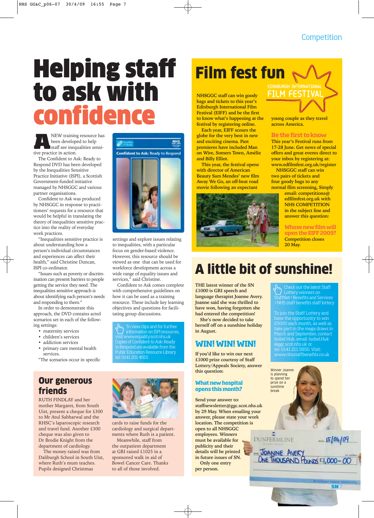# Helping staff to ask with confidence

**ANEW training resource has<br>been developed to help<br>staff see inequalities sensi-<br>tive practice in action** been developed to help tive practice in action.

The Confident to Ask: Ready to Respond DVD has been developed by the Inequalities Sensitive Practice Initiative (ISPI), a Scottish Government-funded initiative managed by NHSGGC and various partner organisations.

Confident to Ask was produced by NHSGGC in response to practitioners' requests for a resource that would be helpful in translating the theory of inequalities sensitive practice into the reality of everyday work practices.

"Inequalities sensitive practice is about understanding how a person's individual circumstances and experiences can affect their health," said Christine Duncan, ISPI co-ordinator.

"Issues such as poverty or discrimination can present barriers to people getting the service they need. The inequalities sensitive approach is about identifying each person's needs and responding to them."

In order to demonstrate this approach, the DVD contains acted scenarios set in each of the following settings:

- maternity services
- children's services
- addiction services
- primary care mental health services.

"The scenarios occur in specific

### Our generous friends

RUTH FINDLAY and her mother Margaret, from South Uist, present a cheque for £300 to Mr Atul Sabharwal and the RHSC's laparoscopic research and travel fund. Another £300 cheque was also given to Dr Brodie Knight from the department of cardiology.

The money raised was from Daliburgh School in South Uist, where Ruth's mum teaches. Pupils designed Christmas



settings and explore issues relating to inequalities, with a particular focus on gender-based violence. However, this resource should be viewed as one that can be used for workforce development across a wide range of equality issues and services," said Christine.

Confident to Ask comes complete with comprehensive guidelines on how it can be used as a training resource. These include key learning objectives and questions for facilitating group discussions.

To view clips and for further information on ISPI resources, visit www.equality.scot.nhs.uk Copies of Confident to Ask: Ready to Respond are available from the Public Education Resource Library tel: 0141 201 4915



cards to raise funds for the cardiology and surgical departments where Ruth is a patient.

Meanwhile, staff from the outpatient department at GRI raised £1025 in a sponsored walk in aid of Bowel Cancer Care. Thanks to all of those involved.

### **Film fest fun**

**NHSGGC staff can win goody bags and tickets to this year's Edinburgh International Film Festival (EIFF) and be the first to know what's happening at the festival by registering online.**

**Each year, EIFF scours the globe for the very best in new and exciting cinema. Past premieres have included Man on Wire, Somers Town, Amélie and Billy Elliot.** 

**This year, the festival opens with director of American Beauty Sam Mendes' new film Away We Go, an off-beat road movie following an expectant**



FILM FESTIVA

**young couple as they travel across America.** 

### **Be the first to know**

**This year's Festival runs from 17-28 June. Get news of special offers and great events direct to your inbox by registering at: www.edfilmfest.org.uk/register**

**NHSGGC staff can win two pairs of tickets and four goody bags to any normal film screening, Simply**

**email: competitions@ edfilmfest.org.uk with NHS COMPETITION in the subject line and answer this question:**

**Whose new film will open the EIFF 2009? Competition closes 20 May.** 

### A little bit of sunshine!

**THE latest winner of the SN £1000 is GRI speech and language therapist Joanne Avery. Joanne said she was thrilled to have won, having forgotten she had entered the competition!** 

**She's now decided to take herself off on a sunshine holiday in August.**

### **WIN! WIN! WIN!**

**If you'd like to win our next £1000 prize courtesy of Staff Lottery/Appeals Society, answer this question:** 

### **What new hospital opens this month?**

**Send your answer to: staffnewsletter@ggc.scot.nhs.uk by 29 May. When emailing your answer, please state your work location. The competition is open to all NHSGGC employees. Winners must be available for publicity and their details will be printed in future issues of SN. Only one entry per person.** 

Check out the latest Staff Lottery winners on StaffNet>Benefits and Services

>NHS staff benefits staff lottery

To join the Staff Lottery and have the opportunity to win £5000 each month, as well as take part in the mega draws in March and September, contact Isobel Huk, email: Isobel.Huk @ggc.scot.nhs.uk or tel: 0141 211 5850. Visit: www.nhsstaffbenefits.co.uk

![](_page_6_Picture_44.jpeg)

**SN** 7